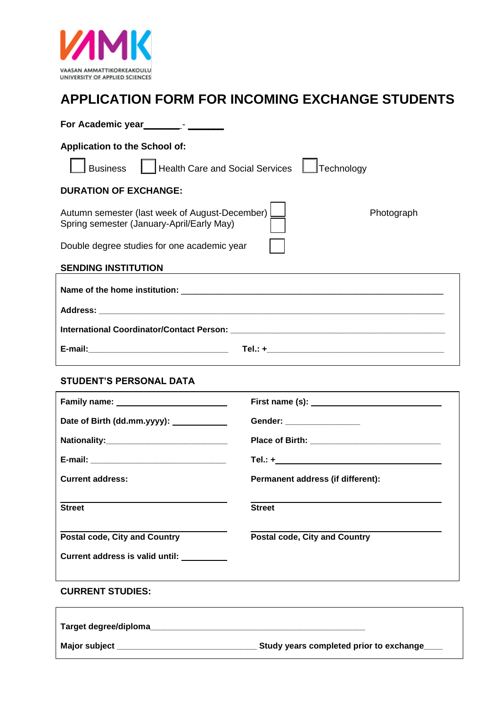

## **APPLICATION FORM FOR INCOMING EXCHANGE STUDENTS**

| For Academic year<br><u>For Academic year</u> <sub>1</sub>                                                |                                      |  |  |
|-----------------------------------------------------------------------------------------------------------|--------------------------------------|--|--|
| <b>Application to the School of:</b>                                                                      |                                      |  |  |
| <b>Business</b><br><b>Health Care and Social Services</b><br>Technology                                   |                                      |  |  |
| <b>DURATION OF EXCHANGE:</b>                                                                              |                                      |  |  |
| Autumn semester (last week of August-December)<br>Photograph<br>Spring semester (January-April/Early May) |                                      |  |  |
| Double degree studies for one academic year                                                               |                                      |  |  |
| <b>SENDING INSTITUTION</b>                                                                                |                                      |  |  |
|                                                                                                           |                                      |  |  |
|                                                                                                           |                                      |  |  |
|                                                                                                           |                                      |  |  |
|                                                                                                           |                                      |  |  |
| <b>STUDENT'S PERSONAL DATA</b>                                                                            |                                      |  |  |
|                                                                                                           |                                      |  |  |
| Date of Birth (dd.mm.yyyy): ____________                                                                  | Gender: ________________             |  |  |
|                                                                                                           |                                      |  |  |
|                                                                                                           |                                      |  |  |
| <b>Current address:</b>                                                                                   | Permanent address (if different):    |  |  |
| <b>Street</b>                                                                                             | <b>Street</b>                        |  |  |
| <b>Postal code, City and Country</b>                                                                      | <b>Postal code, City and Country</b> |  |  |
| Current address is valid until: __________                                                                |                                      |  |  |
| <b>CURRENT STUDIES:</b>                                                                                   |                                      |  |  |
| Target degree/diploma_                                                                                    |                                      |  |  |
|                                                                                                           |                                      |  |  |